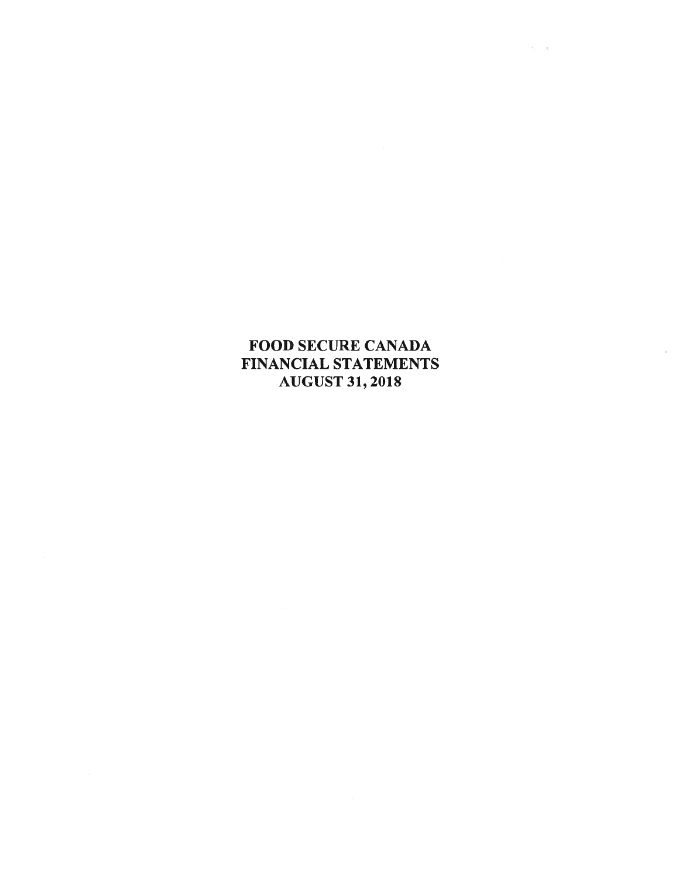# **FOOD SECURE CANADA** FINANCIAL STATEMENTS **AUGUST 31, 2018**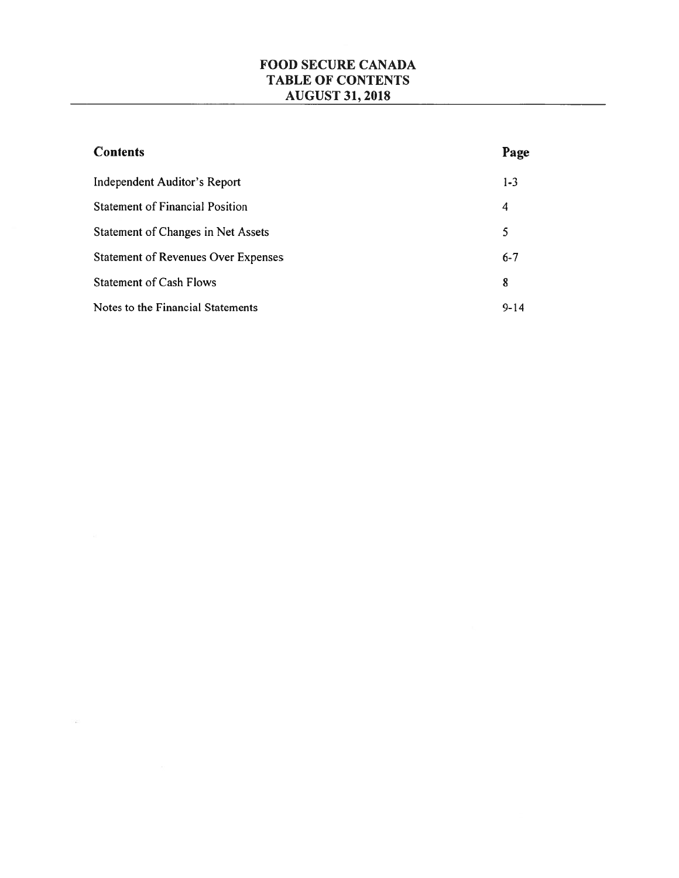| <b>Contents</b>                            | Page     |
|--------------------------------------------|----------|
| Independent Auditor's Report               | $1 - 3$  |
| <b>Statement of Financial Position</b>     | 4        |
| <b>Statement of Changes in Net Assets</b>  | 5        |
| <b>Statement of Revenues Over Expenses</b> | $6 - 7$  |
| <b>Statement of Cash Flows</b>             | 8        |
| Notes to the Financial Statements          | $9 - 14$ |

 $\langle \mathcal{L} \rangle$  . The set of  $\mathcal{L}$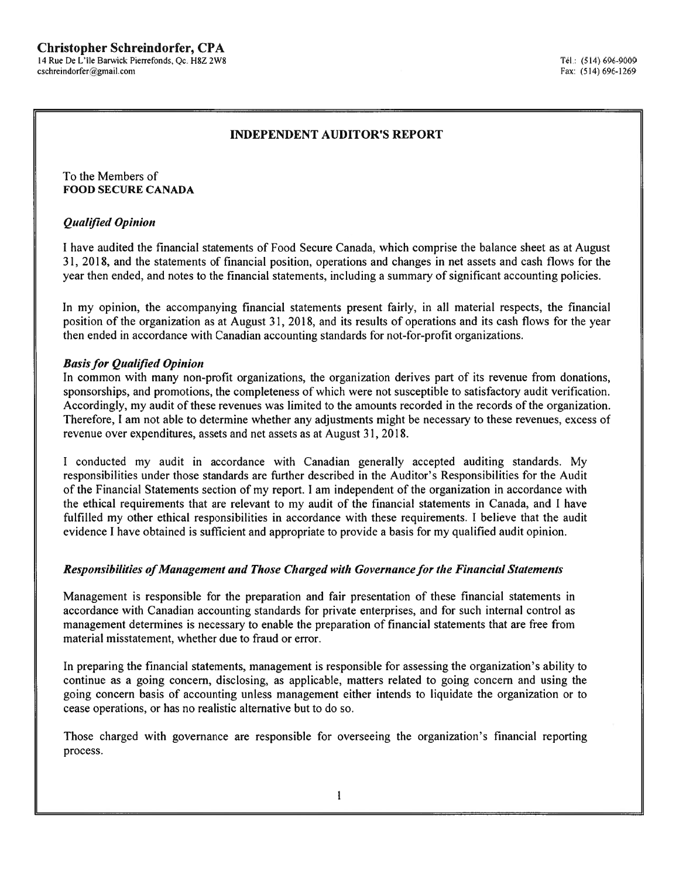#### **Christopher Schreindorfer, CPA** 14 Rue De L'île Barwick Pierrefonds, Qc. H8Z 2W8

cschreindorfer@gmail.com

## **INDEPENDENT AUDITOR'S REPORT**

To the Members of **FOOD SECURE CANADA** 

### **Qualified Opinion**

I have audited the financial statements of Food Secure Canada, which comprise the balance sheet as at August 31, 2018, and the statements of financial position, operations and changes in net assets and cash flows for the year then ended, and notes to the financial statements, including a summary of significant accounting policies.

In my opinion, the accompanying financial statements present fairly, in all material respects, the financial position of the organization as at August 31, 2018, and its results of operations and its cash flows for the year then ended in accordance with Canadian accounting standards for not-for-profit organizations.

### **Basis for Qualified Opinion**

In common with many non-profit organizations, the organization derives part of its revenue from donations, sponsorships, and promotions, the completeness of which were not susceptible to satisfactory audit verification. Accordingly, my audit of these revenues was limited to the amounts recorded in the records of the organization. Therefore, I am not able to determine whether any adjustments might be necessary to these revenues, excess of revenue over expenditures, assets and net assets as at August 31, 2018.

I conducted my audit in accordance with Canadian generally accepted auditing standards. My responsibilities under those standards are further described in the Auditor's Responsibilities for the Audit of the Financial Statements section of my report. I am independent of the organization in accordance with the ethical requirements that are relevant to my audit of the financial statements in Canada, and I have fulfilled my other ethical responsibilities in accordance with these requirements. I believe that the audit evidence I have obtained is sufficient and appropriate to provide a basis for my qualified audit opinion.

### Responsibilities of Management and Those Charged with Governance for the Financial Statements

Management is responsible for the preparation and fair presentation of these financial statements in accordance with Canadian accounting standards for private enterprises, and for such internal control as management determines is necessary to enable the preparation of financial statements that are free from material misstatement, whether due to fraud or error.

In preparing the financial statements, management is responsible for assessing the organization's ability to continue as a going concern, disclosing, as applicable, matters related to going concern and using the going concern basis of accounting unless management either intends to liquidate the organization or to cease operations, or has no realistic alternative but to do so.

Those charged with governance are responsible for overseeing the organization's financial reporting process.

 $\mathbf{1}$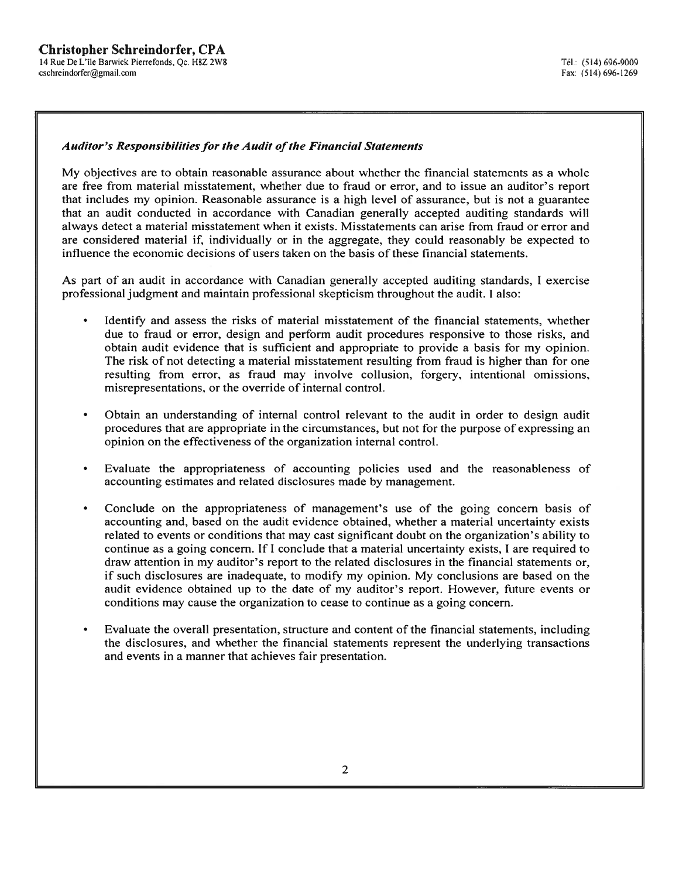### **Auditor's Responsibilities for the Audit of the Financial Statements**

My objectives are to obtain reasonable assurance about whether the financial statements as a whole are free from material misstatement, whether due to fraud or error, and to issue an auditor's report that includes my opinion. Reasonable assurance is a high level of assurance, but is not a guarantee that an audit conducted in accordance with Canadian generally accepted auditing standards will always detect a material misstatement when it exists. Misstatements can arise from fraud or error and are considered material if, individually or in the aggregate, they could reasonably be expected to influence the economic decisions of users taken on the basis of these financial statements.

As part of an audit in accordance with Canadian generally accepted auditing standards, I exercise professional judgment and maintain professional skepticism throughout the audit. I also:

- Identify and assess the risks of material misstatement of the financial statements, whether due to fraud or error, design and perform audit procedures responsive to those risks, and obtain audit evidence that is sufficient and appropriate to provide a basis for my opinion. The risk of not detecting a material misstatement resulting from fraud is higher than for one resulting from error, as fraud may involve collusion, forgery, intentional omissions, misrepresentations, or the override of internal control.
- Obtain an understanding of internal control relevant to the audit in order to design audit procedures that are appropriate in the circumstances, but not for the purpose of expressing an opinion on the effectiveness of the organization internal control.
- Evaluate the appropriateness of accounting policies used and the reasonableness of accounting estimates and related disclosures made by management.
- Conclude on the appropriateness of management's use of the going concern basis of accounting and, based on the audit evidence obtained, whether a material uncertainty exists related to events or conditions that may cast significant doubt on the organization's ability to continue as a going concern. If I conclude that a material uncertainty exists, I are required to draw attention in my auditor's report to the related disclosures in the financial statements or, if such disclosures are inadequate, to modify my opinion. My conclusions are based on the audit evidence obtained up to the date of my auditor's report. However, future events or conditions may cause the organization to cease to continue as a going concern.
- Evaluate the overall presentation, structure and content of the financial statements, including the disclosures, and whether the financial statements represent the underlying transactions and events in a manner that achieves fair presentation.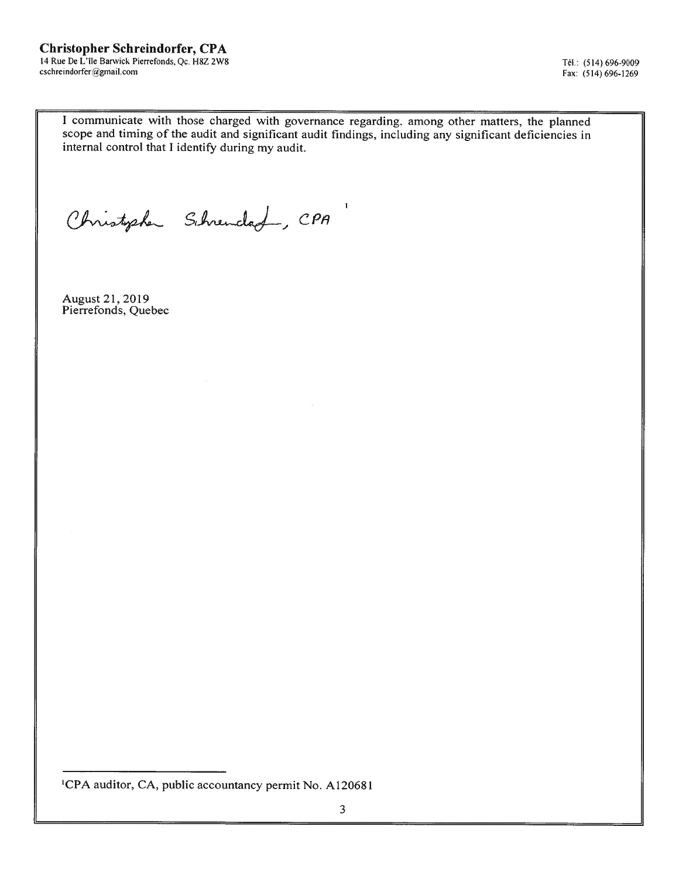# **Christopher Schreindorfer, CPA**

14 Rue De L'île Barwick Pierrefonds, Qc. H8Z 2W8 cschreindorfer@gmail.com

Tél.: (514) 696-9009 Fax: (514) 696-1269

I communicate with those charged with governance regarding, among other matters, the planned scope and timing of the audit and significant audit findings, including any significant deficiencies in internal control that I identify during my audit.

Christopher Schrendad, CPA

August 21, 2019 Pierrefonds, Quebec

<sup>1</sup>CPA auditor, CA, public accountancy permit No. A120681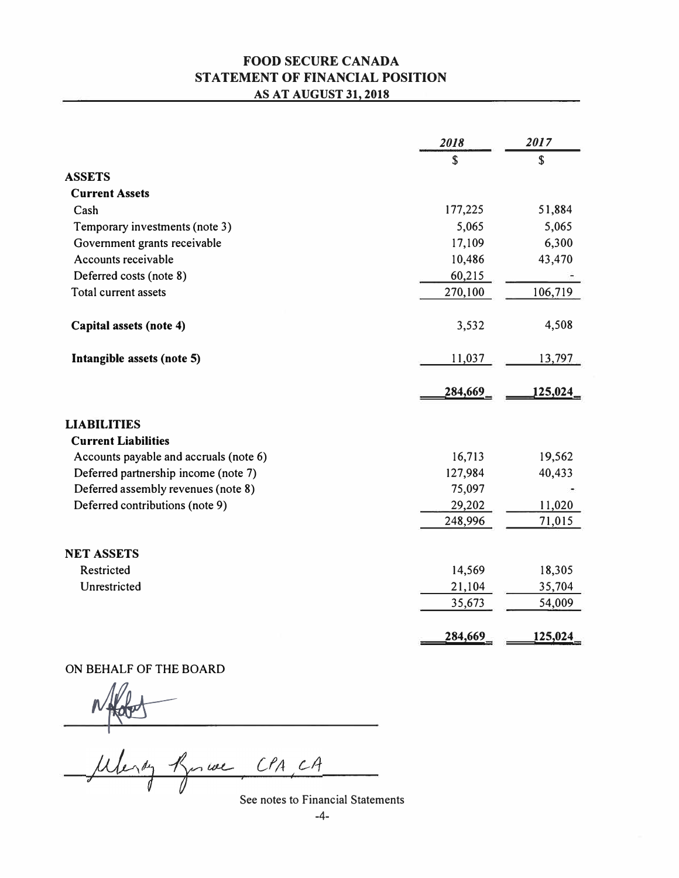# **FOOD SECURE CANADA STATEMENT OF FINANCIAL POSITION AS AT AUGUST 31, 2018**

|                                        | 2018        | 2017        |
|----------------------------------------|-------------|-------------|
|                                        | $\mathbf S$ | $\mathbf S$ |
| <b>ASSETS</b>                          |             |             |
| <b>Current Assets</b>                  |             |             |
| Cash                                   | 177,225     | 51,884      |
| Temporary investments (note 3)         | 5,065       | 5,065       |
| Government grants receivable           | 17,109      | 6,300       |
| Accounts receivable                    | 10,486      | 43,470      |
| Deferred costs (note 8)                | 60,215      |             |
| Total current assets                   | 270,100     | 106,719     |
| Capital assets (note 4)                | 3,532       | 4,508       |
| Intangible assets (note 5)             | 11,037      | 13,797      |
|                                        | 284,669,    | 125,024_    |
| <b>LIABILITIES</b>                     |             |             |
| <b>Current Liabilities</b>             |             |             |
| Accounts payable and accruals (note 6) | 16,713      | 19,562      |
| Deferred partnership income (note 7)   | 127,984     | 40,433      |
| Deferred assembly revenues (note 8)    | 75,097      |             |
| Deferred contributions (note 9)        | 29,202      | 11,020      |
|                                        | 248,996     | 71,015      |
| <b>NET ASSETS</b>                      |             |             |
| Restricted                             | 14,569      | 18,305      |
| Unrestricted                           | 21,104      | 35,704      |
|                                        | 35,673      | 54,009      |
|                                        | 284,669     | 125,024     |

ON BEHALF OF THE BOARD

Meny Roman CPA CA

See notes to Financial Statements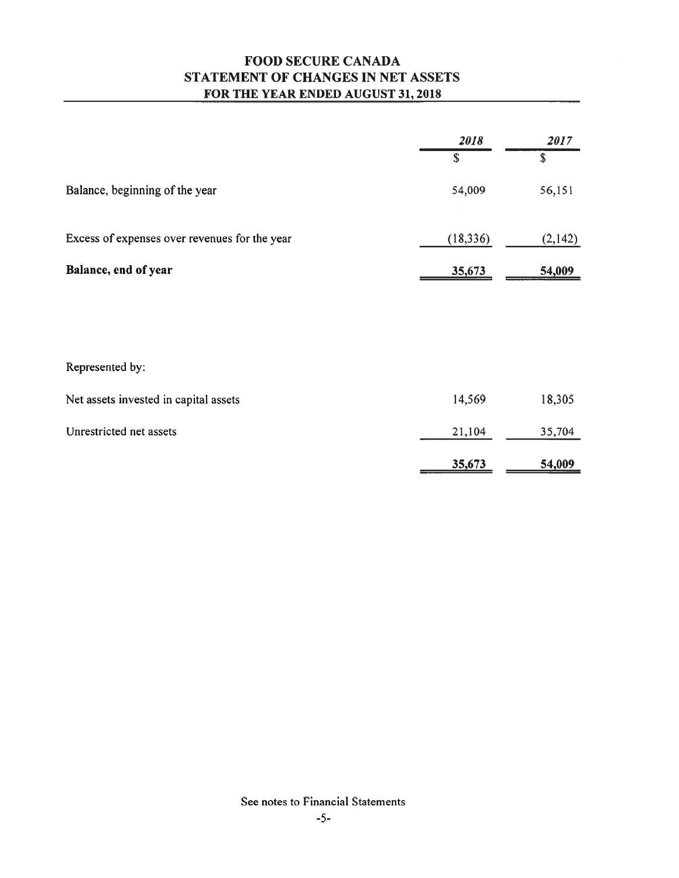# **FOOD SECURE CANADA** STATEMENT OF CHANGES IN NET ASSETS FOR THE YEAR ENDED AUGUST 31, 2018

|                                               | 2018        | 2017    |
|-----------------------------------------------|-------------|---------|
|                                               | $\mathbf S$ | \$      |
| Balance, beginning of the year                | 54,009      | 56,151  |
| Excess of expenses over revenues for the year | (18, 336)   | (2,142) |
|                                               |             |         |
| Balance, end of year                          | 35,673      | 54,009  |
| Represented by:                               |             |         |
|                                               |             |         |
| Net assets invested in capital assets         | 14,569      | 18,305  |
| Unrestricted net assets                       | 21,104      | 35,704  |
|                                               | 35,673      | 54,009  |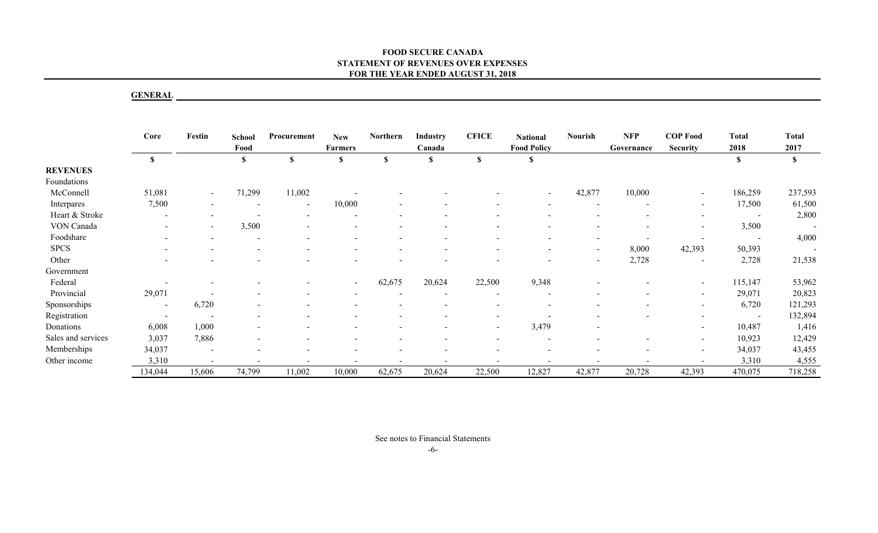## **GENERAL**

|                    | <b>GENERAL</b> |                          |                          |                          |                              |              |                          |                          |                                       |                |                          |                                    |                      |                          |
|--------------------|----------------|--------------------------|--------------------------|--------------------------|------------------------------|--------------|--------------------------|--------------------------|---------------------------------------|----------------|--------------------------|------------------------------------|----------------------|--------------------------|
|                    | Core           | Festin                   | <b>School</b><br>Food    | Procurement              | <b>New</b><br><b>Farmers</b> | Northern     | Industry<br>Canada       | <b>CFICE</b>             | <b>National</b><br><b>Food Policy</b> | <b>Nourish</b> | <b>NFP</b><br>Governance | <b>COP Food</b><br><b>Security</b> | <b>Total</b><br>2018 | <b>Total</b><br>2017     |
|                    | $\mathbf S$    |                          | $\mathbf S$              | $\mathbf S$              | $\mathbb{S}$                 | $\mathbb{S}$ | $\mathbf S$              | $\mathbf{s}$             | $\mathbb{S}$                          |                |                          |                                    | $\mathbf S$          | $\mathbf S$              |
| <b>REVENUES</b>    |                |                          |                          |                          |                              |              |                          |                          |                                       |                |                          |                                    |                      |                          |
| Foundations        |                |                          |                          |                          |                              |              |                          |                          |                                       |                |                          |                                    |                      |                          |
| McConnell          | 51,081         | $\overline{\phantom{a}}$ | 71,299                   | 11,002                   |                              |              |                          |                          | $\sim$                                | 42,877         | 10,000                   | $\blacksquare$                     | 186,259              | 237,593                  |
| Interpares         | 7,500          |                          |                          | $\sim$                   | 10,000                       |              |                          |                          |                                       | $\sim$         | $\sim$                   | $\sim$                             | 17,500               | 61,500                   |
| Heart & Stroke     |                | $\overline{\phantom{a}}$ | $\blacksquare$           | $\sim$                   |                              |              |                          |                          |                                       |                |                          | $\sim$                             | $\sim$               | 2,800                    |
| VON Canada         |                |                          | 3,500                    |                          |                              |              |                          |                          |                                       |                |                          |                                    | 3,500                | $\overline{\phantom{a}}$ |
| Foodshare          |                |                          |                          |                          |                              |              |                          |                          |                                       | $\sim$         | $\overline{\phantom{a}}$ | $\sim$                             |                      | 4,000                    |
| <b>SPCS</b>        |                |                          |                          |                          |                              |              |                          |                          |                                       | $\sim$         | 8,000                    | 42,393                             | 50,393               | $\sim$                   |
| Other              |                |                          |                          |                          |                              |              |                          |                          | $\sim$                                | $\sim$         | 2,728                    | $\blacksquare$                     | 2,728                | 21,538                   |
| Government         |                |                          |                          |                          |                              |              |                          |                          |                                       |                |                          |                                    |                      |                          |
| Federal            |                | $\overline{\phantom{a}}$ |                          |                          |                              | 62,675       | 20,624                   | 22,500                   | 9,348                                 |                |                          | $\sim$                             | 115,147              | 53,962                   |
| Provincial         | 29,071         |                          |                          |                          |                              |              |                          |                          | $\overline{\phantom{a}}$              |                |                          | $\overline{\phantom{a}}$           | 29,071               | 20,823                   |
| Sponsorships       |                | 6,720                    |                          |                          |                              |              |                          | $\blacksquare$           | $\overline{\phantom{a}}$              |                |                          | $\blacksquare$                     | 6,720                | 121,293                  |
| Registration       |                |                          |                          |                          |                              |              |                          |                          | $\overline{\phantom{a}}$              |                |                          |                                    | $\sim$               | 132,894                  |
| Donations          | 6,008          | 1,000                    |                          |                          |                              |              |                          | $\overline{\phantom{a}}$ | 3,479                                 |                |                          | $\sim$                             | 10,487               | 1,416                    |
| Sales and services | 3,037          | 7,886                    |                          |                          |                              |              |                          |                          | $\overline{\phantom{a}}$              |                |                          |                                    | 10,923               | 12,429                   |
| Memberships        | 34,037         | $\overline{\phantom{a}}$ |                          |                          |                              |              |                          |                          | $\overline{\phantom{a}}$              |                |                          |                                    | 34,037               | 43,455                   |
| Other income       | 3,310          | $\sim$                   | $\overline{\phantom{a}}$ | $\overline{\phantom{a}}$ |                              | $\sim$       | $\overline{\phantom{a}}$ | $\overline{\phantom{a}}$ | $\sim$                                |                |                          | $\overline{\phantom{a}}$           | 3,310                | 4,555                    |
|                    | 134,044        | 15,606                   | 74,799                   | 11,002                   | 10,000                       | 62,675       | 20,624                   | 22,500                   | 12,827                                | 42,877         | 20,728                   | 42,393                             | 470,075              | 718,258                  |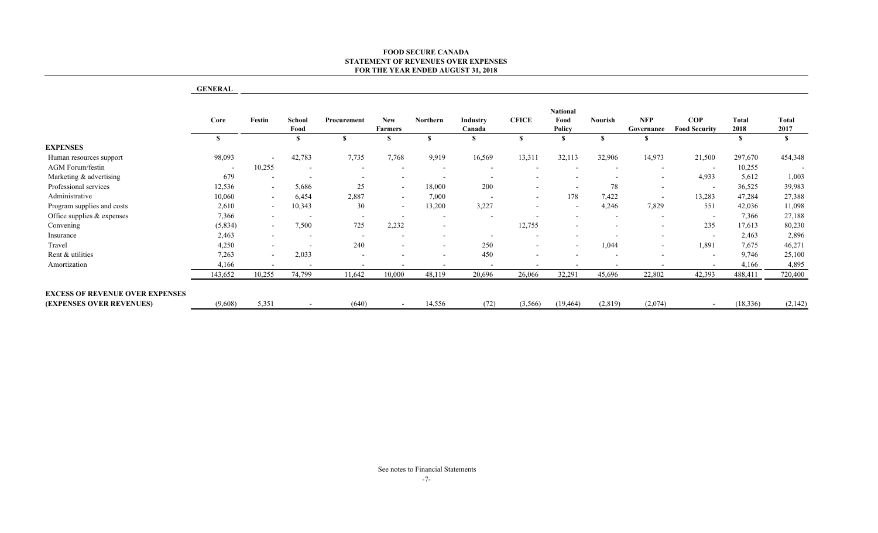| School<br>Food<br>$\mathbf{s}$<br>42,783<br>10,255<br>$\overline{\phantom{a}}$ | Procurement<br>S<br>7,735                                       | New<br><b>Farmers</b><br>S.             | Northern<br>$\mathbf{s}$ | Industry<br>Canada<br>\$  | <b>CFICE</b><br>$\mathbf{s}$  | <b>National</b><br>Food<br>Policy<br>-S | Nourish<br>S.            | <b>NFP</b><br>Governance          | COP<br><b>Food Security</b> | Total<br>2018                           | <b>Total</b>                                                                       |
|--------------------------------------------------------------------------------|-----------------------------------------------------------------|-----------------------------------------|--------------------------|---------------------------|-------------------------------|-----------------------------------------|--------------------------|-----------------------------------|-----------------------------|-----------------------------------------|------------------------------------------------------------------------------------|
|                                                                                |                                                                 |                                         |                          |                           |                               |                                         |                          |                                   |                             |                                         | 2017                                                                               |
|                                                                                |                                                                 |                                         |                          |                           |                               |                                         |                          | \$                                |                             | <sup>S</sup>                            | $\mathbf{s}$                                                                       |
|                                                                                |                                                                 |                                         |                          |                           |                               |                                         |                          |                                   |                             |                                         |                                                                                    |
|                                                                                |                                                                 | 7,768                                   | 9,919                    | 16,569                    | 13,311                        | 32,113                                  | 32,906                   | 14,973                            | 21,500                      | 297,670                                 | 454,348                                                                            |
|                                                                                | $\sim$                                                          |                                         | $\overline{\phantom{a}}$ |                           | $\overline{\phantom{a}}$      | $\overline{\phantom{a}}$                | $\blacksquare$           | $\overline{\phantom{a}}$          | $\overline{\phantom{a}}$    | 10,255                                  |                                                                                    |
| $\overline{\phantom{a}}$                                                       | $\sim$                                                          | $\sim$                                  | $\sim$                   | $\sim$                    |                               | $\sim$                                  | $\sim$                   | $\sim$                            | 4,933                       | 5,612                                   | 1,003                                                                              |
| 5,686                                                                          | $25\,$                                                          | $\sim$                                  | 18,000                   | 200                       |                               | $\sim$                                  | 78                       | $\overline{\phantom{a}}$          | $\sim$                      | 36,525                                  | 39,983                                                                             |
|                                                                                |                                                                 | $\sim$                                  |                          | $\overline{\phantom{a}}$  |                               |                                         |                          | $\sim$                            |                             |                                         | 27,388                                                                             |
|                                                                                |                                                                 | $\overline{a}$                          |                          |                           |                               | $\sim$                                  |                          |                                   |                             |                                         | 11,098                                                                             |
| $\sim$                                                                         | $\sim$                                                          | $\sim$                                  | $\sim$                   | $\sim$                    | $\overline{\phantom{a}}$      | $\blacksquare$                          | $\sim$                   | ÷.                                | $\overline{\phantom{a}}$    |                                         | 27,188                                                                             |
|                                                                                |                                                                 |                                         | $\blacksquare$           |                           |                               | $\blacksquare$                          | $\overline{\phantom{a}}$ |                                   |                             |                                         | 80,230                                                                             |
| $\overline{\phantom{a}}$                                                       | $\blacksquare$                                                  |                                         |                          | $\overline{\phantom{a}}$  |                               |                                         | $\overline{\phantom{a}}$ |                                   | $\overline{\phantom{a}}$    |                                         | 2,896                                                                              |
| $\blacksquare$                                                                 |                                                                 |                                         | $\overline{\phantom{a}}$ |                           |                               | $\blacksquare$                          |                          | $\overline{\phantom{a}}$          |                             |                                         | 46,271                                                                             |
|                                                                                | $\blacksquare$                                                  |                                         | $\sim$                   |                           | $\blacksquare$                | $\sim$                                  | $\overline{\phantom{a}}$ | $\sim$                            | $\sim$                      |                                         | 25,100                                                                             |
| $\sim$                                                                         | $\sim$                                                          |                                         | $\sim$                   | $\overline{\phantom{a}}$  | $\sim$                        | $\sim$                                  | $\overline{a}$           | $\overline{\phantom{a}}$          |                             |                                         | 4,895                                                                              |
|                                                                                |                                                                 |                                         |                          |                           |                               |                                         |                          |                                   |                             |                                         | 720,400                                                                            |
| $\sim$                                                                         | (640)                                                           | $\sim$                                  | 14,556                   | (72)                      | (3, 566)                      | (19, 464)                               | (2,819)                  | (2,074)                           | $\sim$                      | (18, 336)                               | (2,142)                                                                            |
| $\sim$<br>$\sim$<br>$\sim$<br>$\sim$<br>$\sim$<br>5,351                        | 6,454<br>10,343<br>7,500<br>2,033<br>$\sim$<br>10,255<br>74,799 | 2,887<br>$30\,$<br>725<br>240<br>11,642 | 2,232<br>10,000          | 7,000<br>13,200<br>48,119 | 3,227<br>250<br>450<br>20,696 | 12,755<br>26,066                        | 178<br>32,291            | 7,422<br>4,246<br>1,044<br>45,696 | 7,829<br>22,802             | 13,283<br>551<br>235<br>1,891<br>42,393 | 47,284<br>42,036<br>7,366<br>17,613<br>2,463<br>7,675<br>9,746<br>4,166<br>488,411 |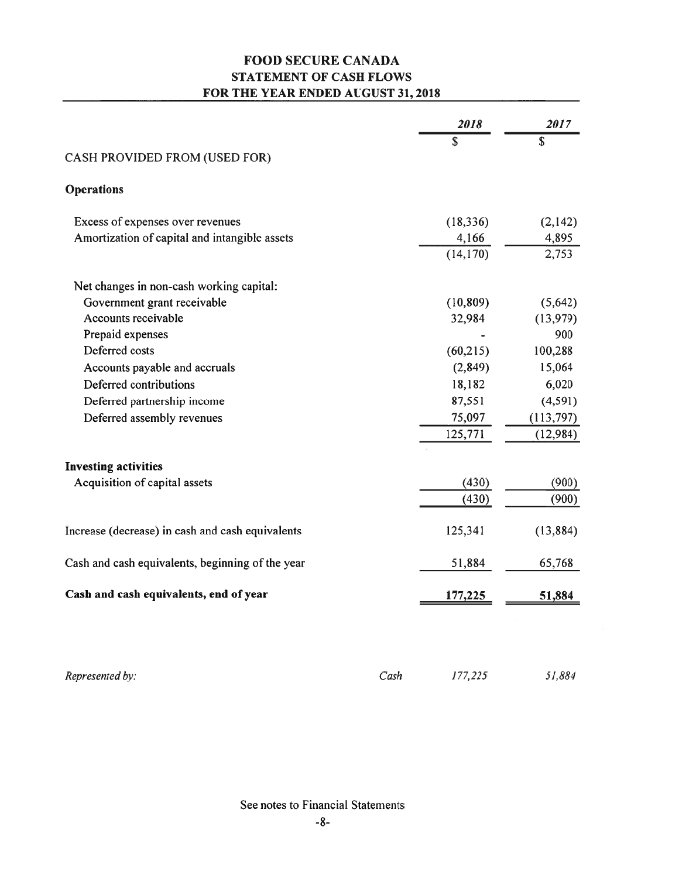# **FOOD SECURE CANADA STATEMENT OF CASH FLOWS** FOR THE YEAR ENDED AUGUST 31, 2018

|                                                  |      | 2018      | 2017      |
|--------------------------------------------------|------|-----------|-----------|
|                                                  |      | \$        | \$        |
| CASH PROVIDED FROM (USED FOR)                    |      |           |           |
| <b>Operations</b>                                |      |           |           |
| Excess of expenses over revenues                 |      | (18, 336) | (2,142)   |
| Amortization of capital and intangible assets    |      | 4,166     | 4,895     |
|                                                  |      | (14, 170) | 2,753     |
| Net changes in non-cash working capital:         |      |           |           |
| Government grant receivable                      |      | (10, 809) | (5,642)   |
| Accounts receivable                              |      | 32,984    | (13,979)  |
| Prepaid expenses                                 |      |           | 900       |
| Deferred costs                                   |      | (60, 215) | 100,288   |
| Accounts payable and accruals                    |      | (2, 849)  | 15,064    |
| Deferred contributions                           |      | 18,182    | 6,020     |
| Deferred partnership income                      |      | 87,551    | (4,591)   |
| Deferred assembly revenues                       |      | 75,097    | (113,797) |
|                                                  |      | 125,771   | (12, 984) |
| <b>Investing activities</b>                      |      |           |           |
| Acquisition of capital assets                    |      | (430)     | (900)     |
|                                                  |      | (430)     | (900)     |
| Increase (decrease) in cash and cash equivalents |      | 125,341   | (13, 884) |
| Cash and cash equivalents, beginning of the year |      | 51,884    | 65,768    |
| Cash and cash equivalents, end of year           |      | 177,225   | 51,884    |
|                                                  |      |           |           |
| Represented by:                                  | Cash | 177,225   | 51,884    |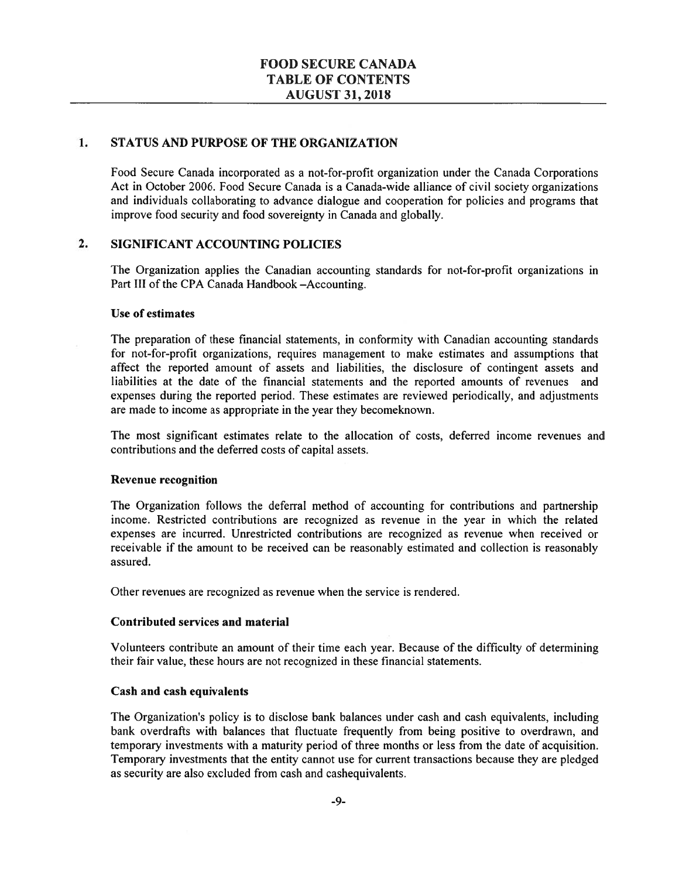#### $1.$ STATUS AND PURPOSE OF THE ORGANIZATION

Food Secure Canada incorporated as a not-for-profit organization under the Canada Corporations Act in October 2006. Food Secure Canada is a Canada-wide alliance of civil society organizations and individuals collaborating to advance dialogue and cooperation for policies and programs that improve food security and food sovereignty in Canada and globally.

#### $2.$ **SIGNIFICANT ACCOUNTING POLICIES**

The Organization applies the Canadian accounting standards for not-for-profit organizations in Part III of the CPA Canada Handbook -Accounting.

#### Use of estimates

The preparation of these financial statements, in conformity with Canadian accounting standards for not-for-profit organizations, requires management to make estimates and assumptions that affect the reported amount of assets and liabilities, the disclosure of contingent assets and liabilities at the date of the financial statements and the reported amounts of revenues and expenses during the reported period. These estimates are reviewed periodically, and adjustments are made to income as appropriate in the year they become known.

The most significant estimates relate to the allocation of costs, deferred income revenues and contributions and the deferred costs of capital assets.

### **Revenue recognition**

The Organization follows the deferral method of accounting for contributions and partnership income. Restricted contributions are recognized as revenue in the year in which the related expenses are incurred. Unrestricted contributions are recognized as revenue when received or receivable if the amount to be received can be reasonably estimated and collection is reasonably assured.

Other revenues are recognized as revenue when the service is rendered.

### **Contributed services and material**

Volunteers contribute an amount of their time each year. Because of the difficulty of determining their fair value, these hours are not recognized in these financial statements.

### **Cash and cash equivalents**

The Organization's policy is to disclose bank balances under cash and cash equivalents, including bank overdrafts with balances that fluctuate frequently from being positive to overdrawn, and temporary investments with a maturity period of three months or less from the date of acquisition. Temporary investments that the entity cannot use for current transactions because they are pledged as security are also excluded from cash and cashequivalents.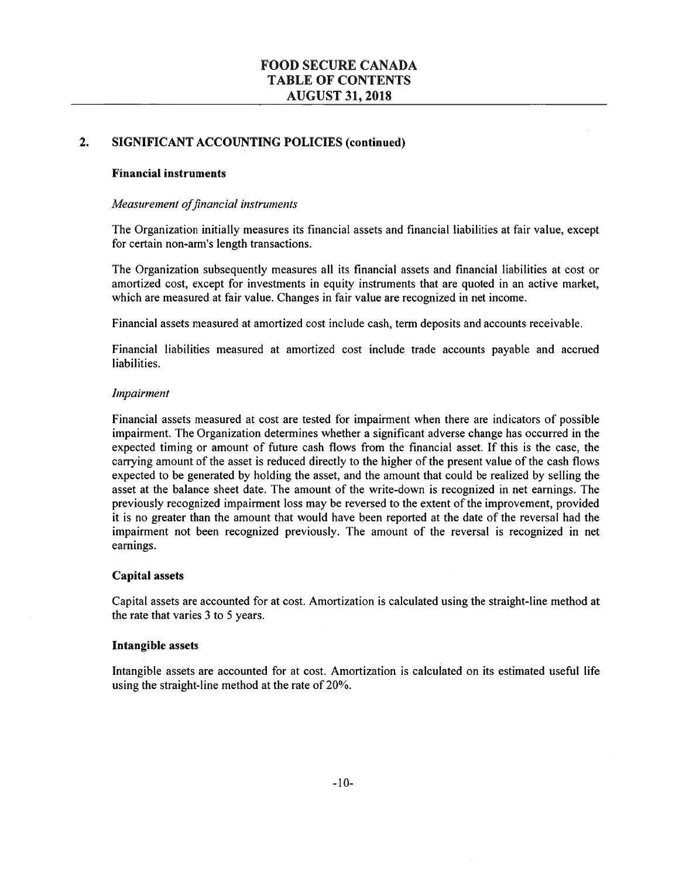#### $2.$ **SIGNIFICANT ACCOUNTING POLICIES (continued)**

### **Financial instruments**

### Measurement of financial instruments

The Organization initially measures its financial assets and financial liabilities at fair value, except for certain non-arm's length transactions.

The Organization subsequently measures all its financial assets and financial liabilities at cost or amortized cost, except for investments in equity instruments that are quoted in an active market, which are measured at fair value. Changes in fair value are recognized in net income.

Financial assets measured at amortized cost include cash, term deposits and accounts receivable.

Financial liabilities measured at amortized cost include trade accounts payable and accrued liabilities.

### Impairment

Financial assets measured at cost are tested for impairment when there are indicators of possible impairment. The Organization determines whether a significant adverse change has occurred in the expected timing or amount of future cash flows from the financial asset. If this is the case, the carrying amount of the asset is reduced directly to the higher of the present value of the cash flows expected to be generated by holding the asset, and the amount that could be realized by selling the asset at the balance sheet date. The amount of the write-down is recognized in net earnings. The previously recognized impairment loss may be reversed to the extent of the improvement, provided it is no greater than the amount that would have been reported at the date of the reversal had the impairment not been recognized previously. The amount of the reversal is recognized in net earnings.

### **Capital assets**

Capital assets are accounted for at cost. Amortization is calculated using the straight-line method at the rate that varies 3 to 5 years.

### **Intangible assets**

Intangible assets are accounted for at cost. Amortization is calculated on its estimated useful life using the straight-line method at the rate of 20%.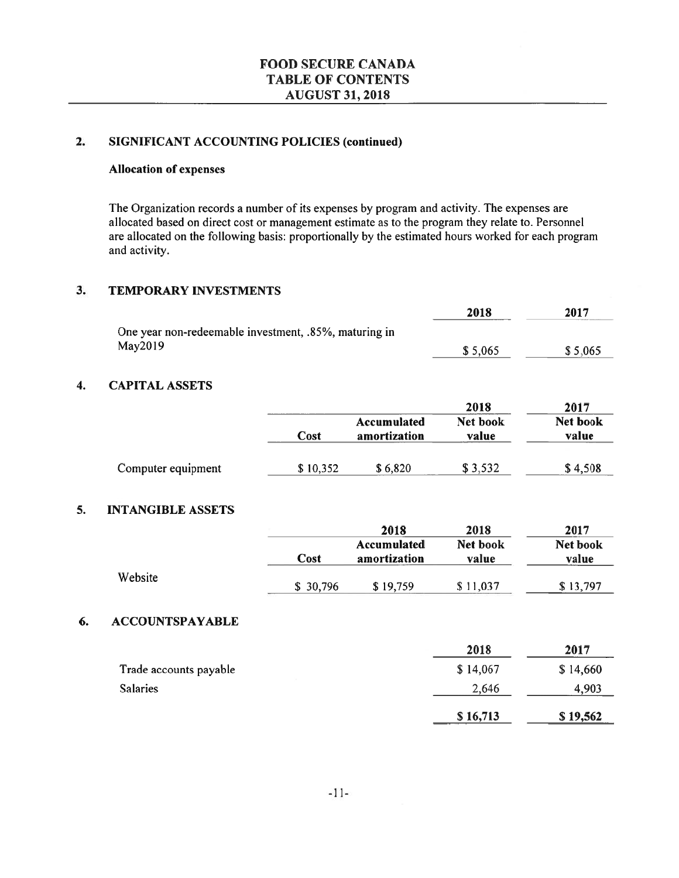#### **SIGNIFICANT ACCOUNTING POLICIES (continued)**  $2.$

### **Allocation of expenses**

The Organization records a number of its expenses by program and activity. The expenses are allocated based on direct cost or management estimate as to the program they relate to. Personnel are allocated on the following basis: proportionally by the estimated hours worked for each program and activity.

#### $3.$ **TEMPORARY INVESTMENTS**

|                                                       | 2018    | 2017    |
|-------------------------------------------------------|---------|---------|
| One year non-redeemable investment, .85%, maturing in |         |         |
| May2019                                               | \$5,065 | \$5,065 |

#### $\overline{\mathbf{4}}$ . **CAPITAL ASSETS**

|                    |          |                             | 2018              | 2017                     |
|--------------------|----------|-----------------------------|-------------------|--------------------------|
|                    | Cost     | Accumulated<br>amortization | Net book<br>value | <b>Net book</b><br>value |
| Computer equipment | \$10,352 | \$6,820                     | \$3,532           | \$4,508                  |

#### 5. **INTANGIBLE ASSETS**

|         |          | 2018                        | 2018              | 2017              |
|---------|----------|-----------------------------|-------------------|-------------------|
|         | Cost     | Accumulated<br>amortization | Net book<br>value | Net book<br>value |
| Website | \$30,796 | \$19,759                    | \$11,037          | \$13,797          |

#### 6. **ACCOUNTSPAYABLE**

|                        | 2018     | 2017     |
|------------------------|----------|----------|
| Trade accounts payable | \$14,067 | \$14,660 |
| <b>Salaries</b>        | 2,646    | 4,903    |
|                        | \$16,713 | \$19,562 |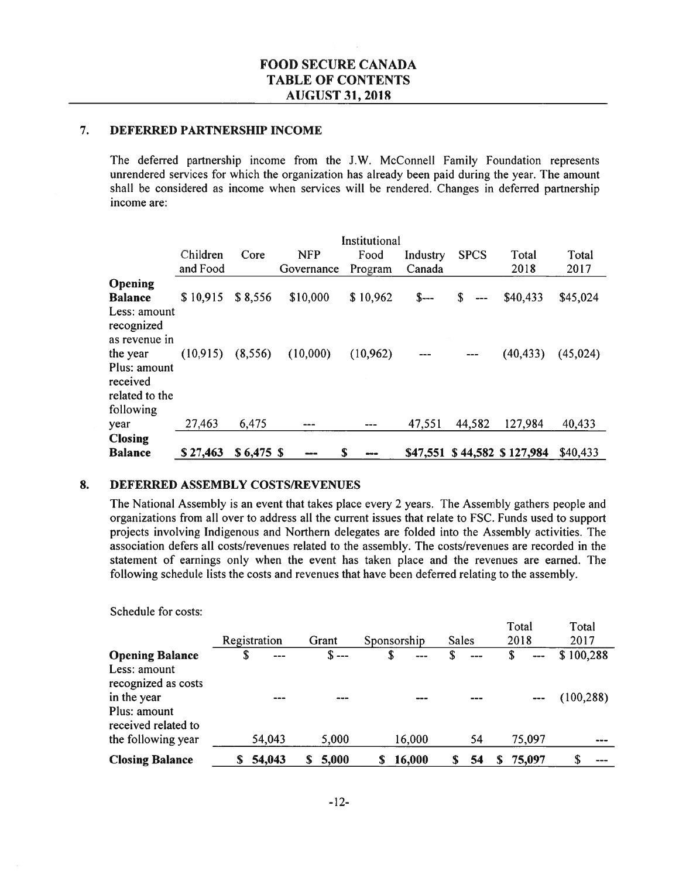#### $7.$ DEFERRED PARTNERSHIP INCOME

The deferred partnership income from the J.W. McConnell Family Foundation represents unrendered services for which the organization has already been paid during the year. The amount shall be considered as income when services will be rendered. Changes in deferred partnership income are:

|                                                                     |           | Institutional |            |           |          |                |                    |          |  |  |
|---------------------------------------------------------------------|-----------|---------------|------------|-----------|----------|----------------|--------------------|----------|--|--|
|                                                                     | Children  | Core          | <b>NFP</b> | Food      | Industry | <b>SPCS</b>    | Total              | Total    |  |  |
|                                                                     | and Food  |               | Governance | Program   | Canada   |                | 2018               | 2017     |  |  |
| Opening                                                             |           |               |            |           |          |                |                    |          |  |  |
| <b>Balance</b>                                                      | \$10,915  | \$8,556       | \$10,000   | \$10,962  | $S$ ---  | \$<br>$\cdots$ | \$40,433           | \$45,024 |  |  |
| Less: amount<br>recognized<br>as revenue in                         |           |               |            |           |          |                |                    |          |  |  |
| the year<br>Plus: amount<br>received<br>related to the<br>following | (10, 915) | (8,556)       | (10,000)   | (10, 962) |          |                | (40, 433)          | (45,024) |  |  |
| year                                                                | 27,463    | 6,475         |            |           | 47,551   | 44,582         | 127,984            | 40,433   |  |  |
| <b>Closing</b>                                                      |           |               |            |           |          |                |                    |          |  |  |
| <b>Balance</b>                                                      | \$27,463  | $$6,475$ \$   |            | S         | \$47,551 |                | \$44,582 \$127,984 | \$40,433 |  |  |

#### 8. DEFERRED ASSEMBLY COSTS/REVENUES

The National Assembly is an event that takes place every 2 years. The Assembly gathers people and organizations from all over to address all the current issues that relate to FSC. Funds used to support projects involving Indigenous and Northern delegates are folded into the Assembly activities. The association defers all costs/revenues related to the assembly. The costs/revenues are recorded in the statement of earnings only when the event has taken place and the revenues are earned. The following schedule lists the costs and revenues that have been deferred relating to the assembly.

|                                                               | Registration |         |               |              | Total<br>2018 | Total      |
|---------------------------------------------------------------|--------------|---------|---------------|--------------|---------------|------------|
|                                                               |              | Grant   | Sponsorship   | <b>Sales</b> |               | 2017       |
| <b>Opening Balance</b><br>Less: amount<br>recognized as costs | \$<br>$---$  | $S$ --- | \$<br>$- - -$ | \$<br>$---$  | \$<br>$- - -$ | \$100,288  |
| in the year<br>Plus: amount<br>received related to            |              |         | ---           |              |               | (100, 288) |
| the following year                                            | 54.043       | 5,000   | 16,000        | 54           | 75,097        |            |
| <b>Closing Balance</b>                                        | 54,043       | 5,000   | 16,000<br>S   | 54           | 75,097<br>S.  | S          |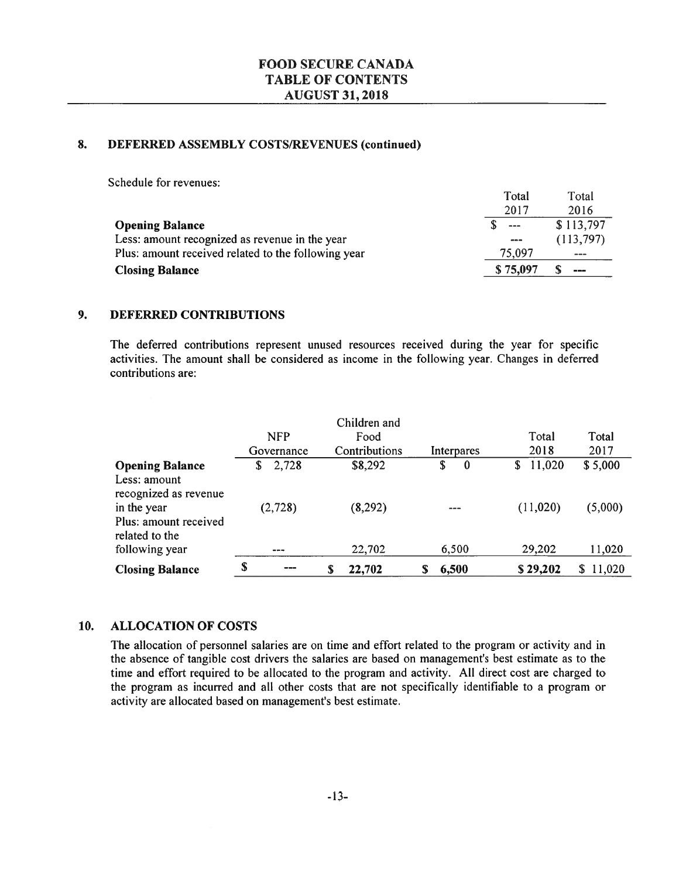#### 8. DEFERRED ASSEMBLY COSTS/REVENUES (continued)

Schedule for revenues:

|                                                     | Total                  | Total     |
|-----------------------------------------------------|------------------------|-----------|
|                                                     | 2017                   | 2016      |
| <b>Opening Balance</b>                              | $- - -$                | \$113,797 |
| Less: amount recognized as revenue in the year      | $\qquad \qquad \cdots$ | (113,797) |
| Plus: amount received related to the following year | 75,097                 | $- - -$   |
| <b>Closing Balance</b>                              | \$75,097               | ---       |

#### 9. **DEFERRED CONTRIBUTIONS**

The deferred contributions represent unused resources received during the year for specific activities. The amount shall be considered as income in the following year. Changes in deferred contributions are:

|                                         |               | Children and  |            |              |             |
|-----------------------------------------|---------------|---------------|------------|--------------|-------------|
|                                         | <b>NFP</b>    | Food          |            | Total        | Total       |
|                                         | Governance    | Contributions | Interpares | 2018         | 2017        |
| <b>Opening Balance</b>                  | 2,728<br>S    | \$8,292       | \$<br>0    | 11,020<br>\$ | \$5,000     |
| Less: amount<br>recognized as revenue   |               |               |            |              |             |
| in the year                             | (2,728)       | (8, 292)      |            | (11,020)     | (5,000)     |
| Plus: amount received<br>related to the |               |               |            |              |             |
| following year                          | $\frac{1}{2}$ | 22,702        | 6,500      | 29,202       | 11,020      |
| <b>Closing Balance</b>                  | S<br>---      | 22,702<br>S   | 6,500      | \$29,202     | 11,020<br>S |

#### **ALLOCATION OF COSTS** 10.

The allocation of personnel salaries are on time and effort related to the program or activity and in the absence of tangible cost drivers the salaries are based on management's best estimate as to the time and effort required to be allocated to the program and activity. All direct cost are charged to the program as incurred and all other costs that are not specifically identifiable to a program or activity are allocated based on management's best estimate.